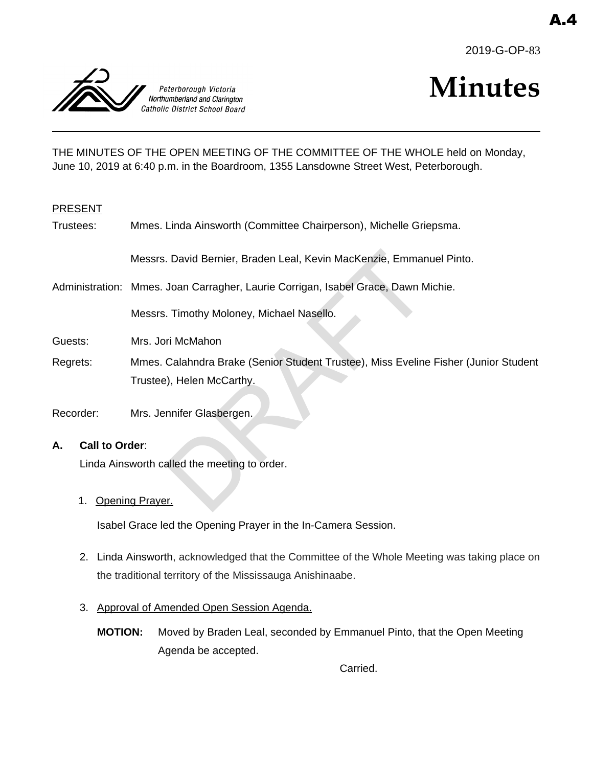



# **Minutes**

THE MINUTES OF THE OPEN MEETING OF THE COMMITTEE OF THE WHOLE held on Monday, June 10, 2019 at 6:40 p.m. in the Boardroom, 1355 Lansdowne Street West, Peterborough.

#### PRESENT

| Trustees: | Mmes. Linda Ainsworth (Committee Chairperson), Michelle Griepsma. |
|-----------|-------------------------------------------------------------------|
|-----------|-------------------------------------------------------------------|

Messrs. David Bernier, Braden Leal, Kevin MacKenzie, Emmanuel Pinto.

Administration: Mmes. Joan Carragher, Laurie Corrigan, Isabel Grace, Dawn Michie.

Messrs. Timothy Moloney, Michael Nasello.

- Guests: Mrs. Jori McMahon
- Regrets: Mmes. Calahndra Brake (Senior Student Trustee), Miss Eveline Fisher (Junior Student Trustee), Helen McCarthy. Chavid Bernier, Braden Leal, Kevin MacKenzie, Emman<br>
Joan Carragher, Laurie Corrigan, Isabel Grace, Dawn M<br>
Timothy Moloney, Michael Nasello.<br>
Timothy Moloney, Michael Nasello.<br>
Timothy Moloney, Michael Nasello.<br>
Timothan<br>
- Recorder: Mrs. Jennifer Glasbergen.

## **A. Call to Order**:

Linda Ainsworth called the meeting to order.

1. Opening Prayer.

Isabel Grace led the Opening Prayer in the In-Camera Session.

- 2. Linda Ainsworth, acknowledged that the Committee of the Whole Meeting was taking place on the traditional territory of the Mississauga Anishinaabe.
- 3. Approval of Amended Open Session Agenda.
	- **MOTION:** Moved by Braden Leal, seconded by Emmanuel Pinto, that the Open Meeting Agenda be accepted.

Carried.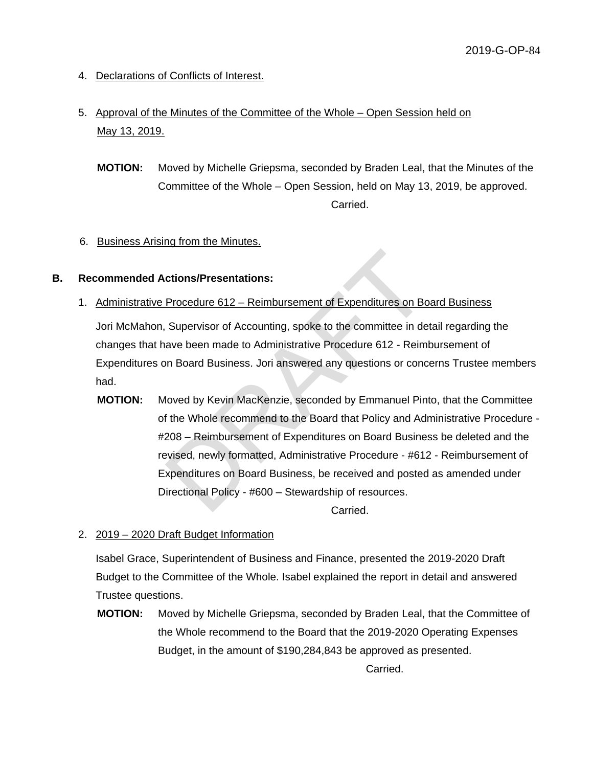- 4. Declarations of Conflicts of Interest.
- 5. Approval of the Minutes of the Committee of the Whole Open Session held on May 13, 2019.
	- **MOTION:** Moved by Michelle Griepsma, seconded by Braden Leal, that the Minutes of the Committee of the Whole – Open Session, held on May 13, 2019, be approved. Carried.

## 6. Business Arising from the Minutes.

#### **B. Recommended Actions/Presentations:**

1. Administrative Procedure 612 – Reimbursement of Expenditures on Board Business

Jori McMahon, Supervisor of Accounting, spoke to the committee in detail regarding the changes that have been made to Administrative Procedure 612 - Reimbursement of Expenditures on Board Business. Jori answered any questions or concerns Trustee members had.

**MOTION:** Moved by Kevin MacKenzie, seconded by Emmanuel Pinto, that the Committee of the Whole recommend to the Board that Policy and Administrative Procedure - #208 – Reimbursement of Expenditures on Board Business be deleted and the revised, newly formatted, Administrative Procedure - #612 - Reimbursement of Expenditures on Board Business, be received and posted as amended under Directional Policy - #600 – Stewardship of resources. ctions/Presentations:<br>
Procedure 612 – Reimbursement of Expenditures on Bo<br>
Supervisor of Accounting, spoke to the committee in de<br>
ave been made to Administrative Procedure 612 - Reim<br>
In Board Business. Jori answered any

Carried.

2. 2019 – 2020 Draft Budget Information

Isabel Grace, Superintendent of Business and Finance, presented the 2019-2020 Draft Budget to the Committee of the Whole. Isabel explained the report in detail and answered Trustee questions.

**MOTION:** Moved by Michelle Griepsma, seconded by Braden Leal, that the Committee of the Whole recommend to the Board that the 2019-2020 Operating Expenses Budget, in the amount of \$190,284,843 be approved as presented.

Carried.